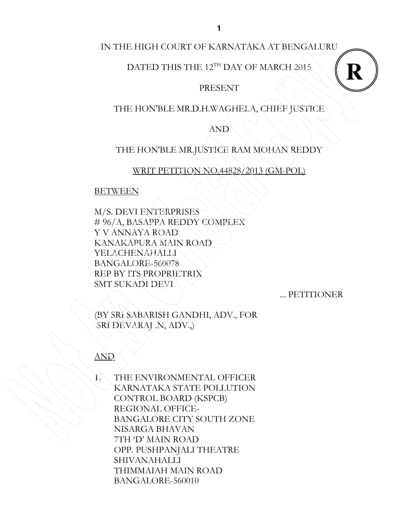#### IN THE HIGH COURT OF KARNATAKA AT BENGALURU

## DATED THIS THE 12<sup>TH</sup> DAY OF MARCH 2015

## PRESENT

#### THE HON'BLE MR.D.H.WAGHELA, CHIEF JUSTICE

AND

#### THE HON'BLE MR.JUSTICE RAM MOHAN REDDY

# WRIT PETITION NO.44828/2013 (GM-POL)

BETWEEN

M/S. DEVI ENTERPRISES # 96/A, BASAPPA REDDY COMPLEX Y V ANNAYA ROAD KANAKAPURA MAIN ROAD YELACHENAHALLI BANGALORE-560078 REP BY ITS PROPRIETRIX SMT SUKADI DEVI

... PETITIONER

**R**

(BY SRI SABARISH GANDHI, ADV., FOR SRI DEVARAJ .N, ADV.,)

AND

1. THE ENVIRONMENTAL OFFICER KARNATAKA STATE POLLUTION CONTROL BOARD (KSPCB) REGIONAL OFFICE-BANGALORE CITY SOUTH ZONE NISARGA BHAVAN 7TH 'D' MAIN ROAD OPP. PUSHPANJALI THEATRE SHIVANAHALLI THIMMAIAH MAIN ROAD BANGALORE-560010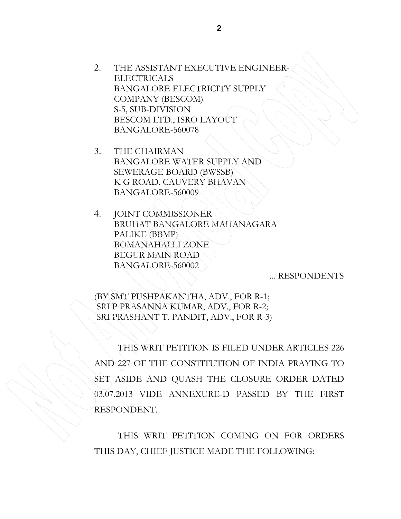- 2. THE ASSISTANT EXECUTIVE ENGINEER-ELECTRICALS BANGALORE ELECTRICITY SUPPLY COMPANY (BESCOM) S-5, SUB-DIVISION BESCOM LTD., ISRO LAYOUT BANGALORE-560078
- 3. THE CHAIRMAN BANGALORE WATER SUPPLY AND SEWERAGE BOARD (BWSSB) K G ROAD, CAUVERY BHAVAN BANGALORE-560009
- 4. JOINT COMMISSIONER BRUHAT BANGALORE MAHANAGARA PALIKE (BBMP) BOMANAHALLI ZONE BEGUR MAIN ROAD BANGALORE-560002

... RESPONDENTS

(BY SMT PUSHPAKANTHA, ADV., FOR R-1; SRI P PRASANNA KUMAR, ADV., FOR R-2; SRI PRASHANT T. PANDIT, ADV., FOR R-3)

THIS WRIT PETITION IS FILED UNDER ARTICLES 226 AND 227 OF THE CONSTITUTION OF INDIA PRAYING TO SET ASIDE AND QUASH THE CLOSURE ORDER DATED 03.07.2013 VIDE ANNEXURE-D PASSED BY THE FIRST RESPONDENT.

 THIS WRIT PETITION COMING ON FOR ORDERS THIS DAY, CHIEF JUSTICE MADE THE FOLLOWING: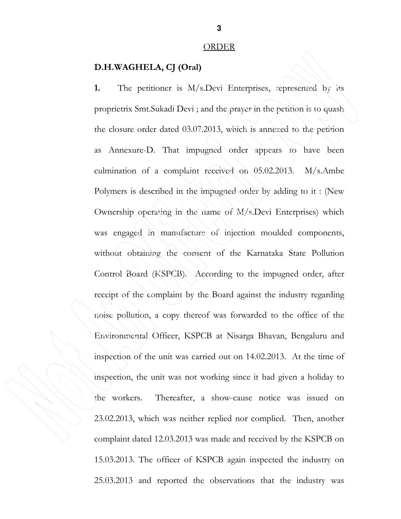#### **ORDER**

#### D.H.WAGHELA, CJ (Oral)

1. The petitioner is M/s.Devi Enterprises, represented by its proprietrix Smt.Sukadi Devi ; and the prayer in the petition is to quash the closure order dated 03.07.2013, which is annexed to the petition as Annexure-D. That impugned order appears to have been culmination of a complaint received on 05.02.2013. M/s.Ambe Polymers is described in the impugned order by adding to it : (New Ownership operating in the name of M/s.Devi Enterprises) which was engaged in manufacture of injection moulded components, without obtaining the consent of the Karnataka State Pollution Control Board (KSPCB). According to the impugned order, after receipt of the complaint by the Board against the industry regarding noise pollution, a copy thereof was forwarded to the office of the Environmental Officer, KSPCB at Nisarga Bhavan, Bengaluru and inspection of the unit was carried out on 14.02.2013. At the time of inspection, the unit was not working since it had given a holiday to the workers. Thereafter, a show-cause notice was issued on 23.02.2013, which was neither replied nor complied. Then, another complaint dated 12.03.2013 was made and received by the KSPCB on 15.03.2013. The officer of KSPCB again inspected the industry on 25.03.2013 and reported the observations that the industry was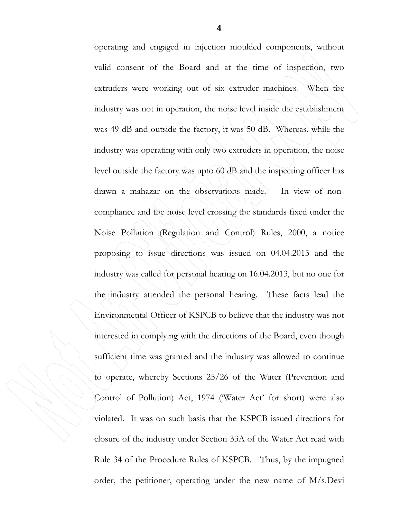operating and engaged in injection moulded components, without valid consent of the Board and at the time of inspection, two extruders were working out of six extruder machines. When the industry was not in operation, the noise level inside the establishment was 49 dB and outside the factory, it was 50 dB. Whereas, while the industry was operating with only two extruders in operation, the noise level outside the factory was upto 60 dB and the inspecting officer has drawn a mahazar on the observations made. In view of noncompliance and the noise level crossing the standards fixed under the Noise Pollution (Regulation and Control) Rules, 2000, a notice proposing to issue directions was issued on 04.04.2013 and the industry was called for personal hearing on 16.04.2013, but no one for the industry attended the personal hearing. These facts lead the Environmental Officer of KSPCB to believe that the industry was not interested in complying with the directions of the Board, even though sufficient time was granted and the industry was allowed to continue to operate, whereby Sections 25/26 of the Water (Prevention and Control of Pollution) Act, 1974 ('Water Act' for short) were also violated. It was on such basis that the KSPCB issued directions for closure of the industry under Section 33A of the Water Act read with Rule 34 of the Procedure Rules of KSPCB. Thus, by the impugned order, the petitioner, operating under the new name of M/s.Devi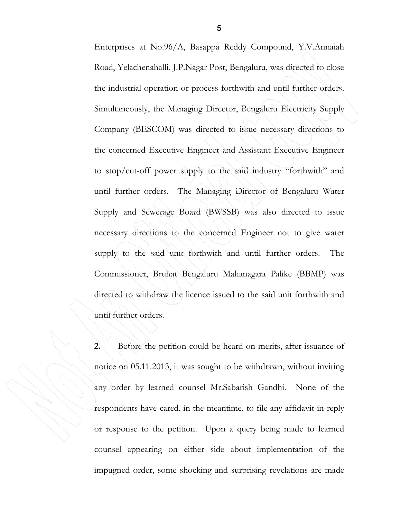Enterprises at No.96/A, Basappa Reddy Compound, Y.V.Annaiah Road, Yelachenahalli, J.P.Nagar Post, Bengaluru, was directed to close the industrial operation or process forthwith and until further orders. Simultaneously, the Managing Director, Bengaluru Electricity Supply Company (BESCOM) was directed to issue necessary directions to the concerned Executive Engineer and Assistant Executive Engineer to stop/cut-off power supply to the said industry "forthwith" and until further orders. The Managing Director of Bengaluru Water Supply and Sewerage Board (BWSSB) was also directed to issue necessary directions to the concerned Engineer not to give water supply to the said unit forthwith and until further orders. The Commissioner, Bruhat Bengaluru Mahanagara Palike (BBMP) was directed to withdraw the licence issued to the said unit forthwith and until further orders.

2. Before the petition could be heard on merits, after issuance of notice on 05.11.2013, it was sought to be withdrawn, without inviting any order by learned counsel Mr.Sabarish Gandhi. None of the respondents have cared, in the meantime, to file any affidavit-in-reply or response to the petition. Upon a query being made to learned counsel appearing on either side about implementation of the impugned order, some shocking and surprising revelations are made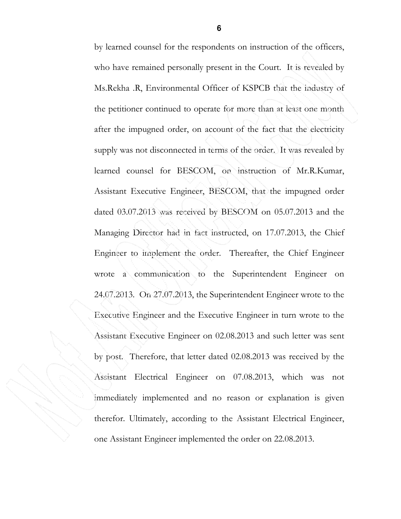by learned counsel for the respondents on instruction of the officers, who have remained personally present in the Court. It is revealed by Ms.Rekha .R, Environmental Officer of KSPCB that the industry of the petitioner continued to operate for more than at least one month after the impugned order, on account of the fact that the electricity supply was not disconnected in terms of the order. It was revealed by learned counsel for BESCOM, on instruction of Mr.R.Kumar, Assistant Executive Engineer, BESCOM, that the impugned order dated 03.07.2013 was received by BESCOM on 05.07.2013 and the Managing Director had in fact instructed, on 17.07.2013, the Chief Engineer to implement the order. Thereafter, the Chief Engineer wrote a communication to the Superintendent Engineer on 24.07.2013. On 27.07.2013, the Superintendent Engineer wrote to the Executive Engineer and the Executive Engineer in turn wrote to the Assistant Executive Engineer on 02.08.2013 and such letter was sent by post. Therefore, that letter dated 02.08.2013 was received by the Assistant Electrical Engineer on 07.08.2013, which was not immediately implemented and no reason or explanation is given therefor. Ultimately, according to the Assistant Electrical Engineer, one Assistant Engineer implemented the order on 22.08.2013.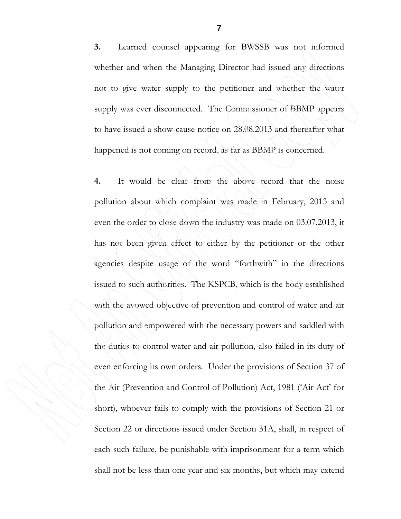3. Learned counsel appearing for BWSSB was not informed whether and when the Managing Director had issued any directions not to give water supply to the petitioner and whether the water supply was ever disconnected. The Commissioner of BBMP appears to have issued a show-cause notice on 28.08.2013 and thereafter what happened is not coming on record, as far as BBMP is concerned.

4. It would be clear from the above record that the noise pollution about which complaint was made in February, 2013 and even the order to close down the industry was made on 03.07.2013, it has not been given effect to either by the petitioner or the other agencies despite usage of the word "forthwith" in the directions issued to such authorities. The KSPCB, which is the body established with the avowed objective of prevention and control of water and air pollution and empowered with the necessary powers and saddled with the duties to control water and air pollution, also failed in its duty of even enforcing its own orders. Under the provisions of Section 37 of the Air (Prevention and Control of Pollution) Act, 1981 ('Air Act' for short), whoever fails to comply with the provisions of Section 21 or Section 22 or directions issued under Section 31A, shall, in respect of each such failure, be punishable with imprisonment for a term which shall not be less than one year and six months, but which may extend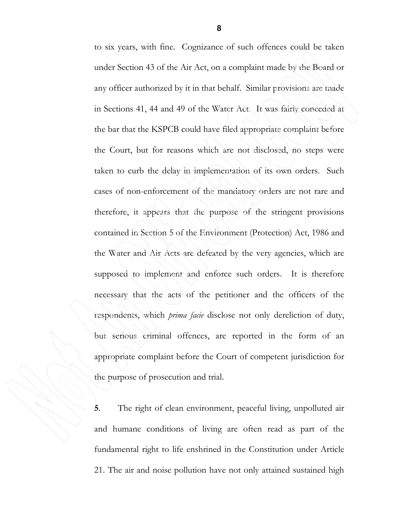to six years, with fine. Cognizance of such offences could be taken under Section 43 of the Air Act, on a complaint made by the Board or any officer authorized by it in that behalf. Similar provisions are made in Sections 41, 44 and 49 of the Water Act. It was fairly conceded at the bar that the KSPCB could have filed appropriate complaint before the Court, but for reasons which are not disclosed, no steps were taken to curb the delay in implementation of its own orders. Such cases of non-enforcement of the mandatory orders are not rare and therefore, it appears that the purpose of the stringent provisions contained in Section 5 of the Environment (Protection) Act, 1986 and the Water and Air Acts are defeated by the very agencies, which are supposed to implement and enforce such orders. It is therefore necessary that the acts of the petitioner and the officers of the respondents, which *prima facie* disclose not only dereliction of duty, but serious criminal offences, are reported in the form of an appropriate complaint before the Court of competent jurisdiction for the purpose of prosecution and trial.

5. The right of clean environment, peaceful living, unpolluted air and humane conditions of living are often read as part of the fundamental right to life enshrined in the Constitution under Article 21. The air and noise pollution have not only attained sustained high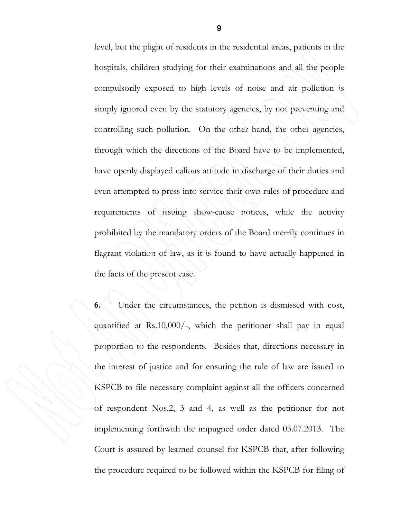level, but the plight of residents in the residential areas, patients in the hospitals, children studying for their examinations and all the people compulsorily exposed to high levels of noise and air pollution is simply ignored even by the statutory agencies, by not preventing and controlling such pollution. On the other hand, the other agencies, through which the directions of the Board have to be implemented, have openly displayed callous attitude in discharge of their duties and even attempted to press into service their own rules of procedure and requirements of issuing show-cause notices, while the activity prohibited by the mandatory orders of the Board merrily continues in flagrant violation of law, as it is found to have actually happened in the facts of the present case.

6. Under the circumstances, the petition is dismissed with cost, quantified at Rs.10,000/-, which the petitioner shall pay in equal proportion to the respondents. Besides that, directions necessary in the interest of justice and for ensuring the rule of law are issued to KSPCB to file necessary complaint against all the officers concerned of respondent Nos.2, 3 and 4, as well as the petitioner for not implementing forthwith the impugned order dated 03.07.2013. The Court is assured by learned counsel for KSPCB that, after following the procedure required to be followed within the KSPCB for filing of